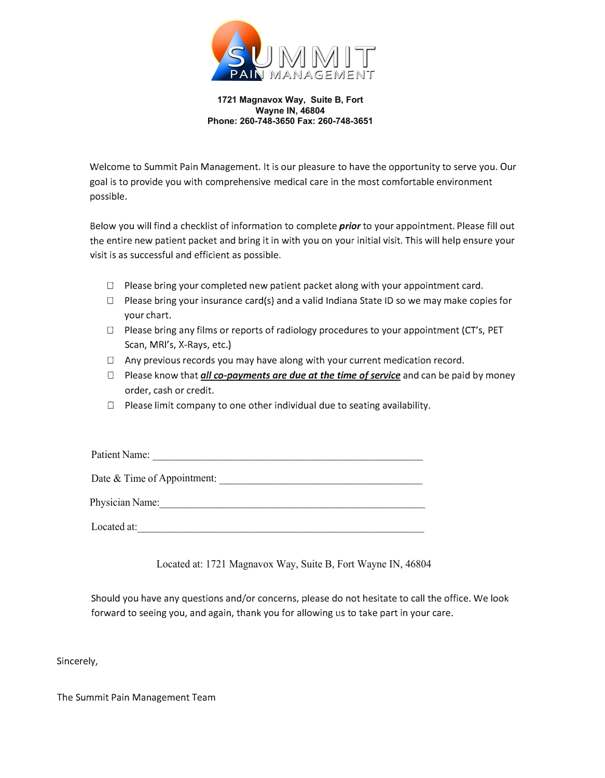

**1721 Magnavox Way, Suite B, Fort Wayne IN, 46804 Phone: 260-748-3650 Fax: 260-748-3651** 

Welcome to Summit Pain Management. It is our pleasure to have the opportunity to serve you. Our goal is to provide you with comprehensive medical care in the most comfortable environment possible.

Below you will find a checklist of information to complete *prior* to your appointment. Please fill out the entire new patient packet and bring it in with you on your initial visit. This will help ensure your visit is as successful and efficient as possible.

- $\Box$  Please bring your completed new patient packet along with your appointment card.
- $\square$  Please bring your insurance card(s) and a valid Indiana State ID so we may make copies for your chart.
- $\square$  Please bring any films or reports of radiology procedures to your appointment (CT's, PET Scan, MRl's, X-Rays, etc.)
- $\Box$  Any previous records you may have along with your current medication record.
- □ Please know that *all co-payments are due at the time of service* and can be paid by money order, cash or credit.
- 0 Please limit company to one other individual due to seating availability.

| Patient Name:               |
|-----------------------------|
| Date & Time of Appointment: |
| Physician Name:             |
| Located at:                 |

Located at: 1721 Magnavox Way, Suite B, Fort Wayne IN, 46804

Should you have any questions and/or concerns, please do not hesitate to call the office. We look forward to seeing you, and again, thank you for allowing us to take part in your care.

Sincerely,

The Summit Pain Management Team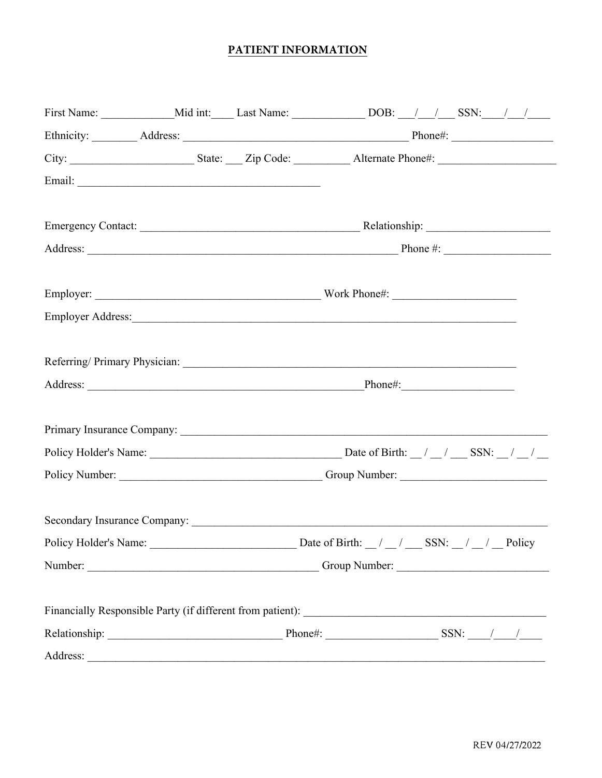# PATIENT INFORMATION

| First Name: ________________Mid int: ______ Last Name: ___________________DOB: ___/ __/ ____/ _____________/ ___/ |  |                      |                   |  |
|-------------------------------------------------------------------------------------------------------------------|--|----------------------|-------------------|--|
|                                                                                                                   |  |                      |                   |  |
|                                                                                                                   |  |                      |                   |  |
|                                                                                                                   |  |                      |                   |  |
|                                                                                                                   |  |                      |                   |  |
|                                                                                                                   |  |                      |                   |  |
|                                                                                                                   |  |                      |                   |  |
|                                                                                                                   |  |                      |                   |  |
|                                                                                                                   |  |                      |                   |  |
|                                                                                                                   |  |                      |                   |  |
|                                                                                                                   |  |                      |                   |  |
|                                                                                                                   |  |                      |                   |  |
|                                                                                                                   |  |                      |                   |  |
|                                                                                                                   |  |                      |                   |  |
|                                                                                                                   |  |                      |                   |  |
|                                                                                                                   |  |                      |                   |  |
|                                                                                                                   |  |                      |                   |  |
|                                                                                                                   |  |                      |                   |  |
|                                                                                                                   |  |                      |                   |  |
| Policy Holder's Name:                                                                                             |  | Date of Birth: $/$ / | SSN: $/ /$ Policy |  |
|                                                                                                                   |  |                      |                   |  |
|                                                                                                                   |  |                      |                   |  |
|                                                                                                                   |  |                      |                   |  |
|                                                                                                                   |  |                      |                   |  |
|                                                                                                                   |  |                      |                   |  |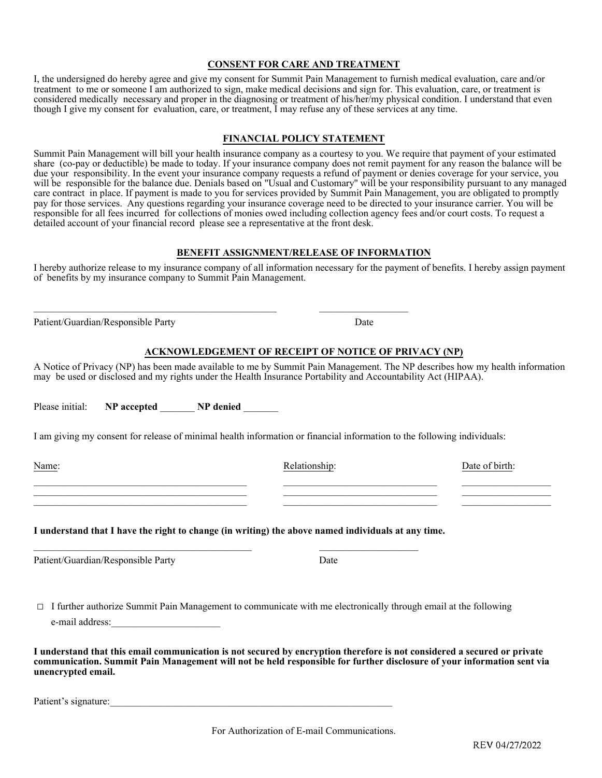## **CONSENT FOR CARE AND TREATMENT**

I, the undersigned do hereby agree and give my consent for Summit Pain Management to furnish medical evaluation, care and/or treatment to me or someone I am authorized to sign, make medical decisions and sign for. This evaluation, care, or treatment is considered medically necessary and proper in the diagnosing or treatment of his/her/my physical condition. I understand that even though I give my consent for evaluation, care, or treatment, I may refuse any of these services at any time.

## **FINANCIAL POLICY STATEMENT**

Summit Pain Management will bill your health insurance company as a courtesy to you. We require that payment of your estimated share (co-pay or deductible) be made to today. If your insurance company does not remit payment for any reason the balance will be due your responsibility. In the event your insurance company requests a refund of payment or denies coverage for your service, you will be responsible for the balance due. Denials based on "Usual and Customary'' will be your responsibility pursuant to any managed care contract in place. If payment is made to you for services provided by Summit Pain Management, you are obligated to promptly pay for those services. Any questions regarding your insurance coverage need to be directed to your insurance carrier. You will be responsible for all fees incurred for collections of monies owed including collection agency fees and/or court costs. To request a detailed account of your financial record please see a representative at the front desk.

## **BENEFIT ASSIGNMENT/RELEASE OF INFORMATION**

I hereby authorize release to my insurance company of all information necessary for the payment of benefits. I hereby assign payment of benefits by my insurance company to Summit Pain Management.

Patient/Guardian/Responsible Party Date

### **ACKNOWLEDGEMENT OF RECEIPT OF NOTICE OF PRIVACY (NP)**

A Notice of Privacy (NP) has been made available to me by Summit Pain Management. The NP describes how my health information may be used or disclosed and my rights under the Health Insurance Portability and Accountability Act (HIPAA).

Please initial: **NP accepted <b>NP** denied

I am giving my consent for release of minimal health information or financial information to the following individuals:

\_\_\_\_\_\_\_\_\_\_\_\_\_\_\_\_\_\_\_\_\_\_\_\_\_\_\_\_\_\_\_\_\_\_\_\_\_\_\_\_\_\_\_ \_\_\_\_\_\_\_\_\_\_\_\_\_\_\_\_\_\_\_\_\_\_\_\_\_\_\_\_\_\_\_ \_\_\_\_\_\_\_\_\_\_\_\_\_\_\_\_\_\_ \_\_\_\_\_\_\_\_\_\_\_\_\_\_\_\_\_\_\_\_\_\_\_\_\_\_\_\_\_\_\_\_\_\_\_\_\_\_\_\_\_\_\_ \_\_\_\_\_\_\_\_\_\_\_\_\_\_\_\_\_\_\_\_\_\_\_\_\_\_\_\_\_\_\_ \_\_\_\_\_\_\_\_\_\_\_\_\_\_\_\_\_\_ \_\_\_\_\_\_\_\_\_\_\_\_\_\_\_\_\_\_\_\_\_\_\_\_\_\_\_\_\_\_\_\_\_\_\_\_\_\_\_\_\_\_\_ \_\_\_\_\_\_\_\_\_\_\_\_\_\_\_\_\_\_\_\_\_\_\_\_\_\_\_\_\_\_\_ \_\_\_\_\_\_\_\_\_\_\_\_\_\_\_\_\_\_

**I understand that I have the right to change (in writing) the above named individuals at any time.** 

\_\_\_\_\_\_\_\_\_\_\_\_\_\_\_\_\_\_\_\_\_\_\_\_\_\_\_\_\_\_\_\_\_\_\_\_\_\_\_\_\_\_\_\_\_\_\_\_\_ \_\_\_\_\_\_\_\_\_\_\_\_\_\_\_\_\_\_

Patient/Guardian/Responsible Party Date

 $\Box$  I further authorize Summit Pain Management to communicate with me electronically through email at the following e-mail address:

**I understand that this email communication is not secured by encryption therefore is not considered a secured or private communication. Summit Pain Management will not be held responsible for further disclosure of your information sent via unencrypted email.** 

Patient's signature:

For Authorization of E-mail Communications.

Name: Date of birth: Relationship: Relationship: Date of birth:

 $\_$  , and the set of the set of the set of the set of the set of the set of the set of the set of the set of the set of the set of the set of the set of the set of the set of the set of the set of the set of the set of th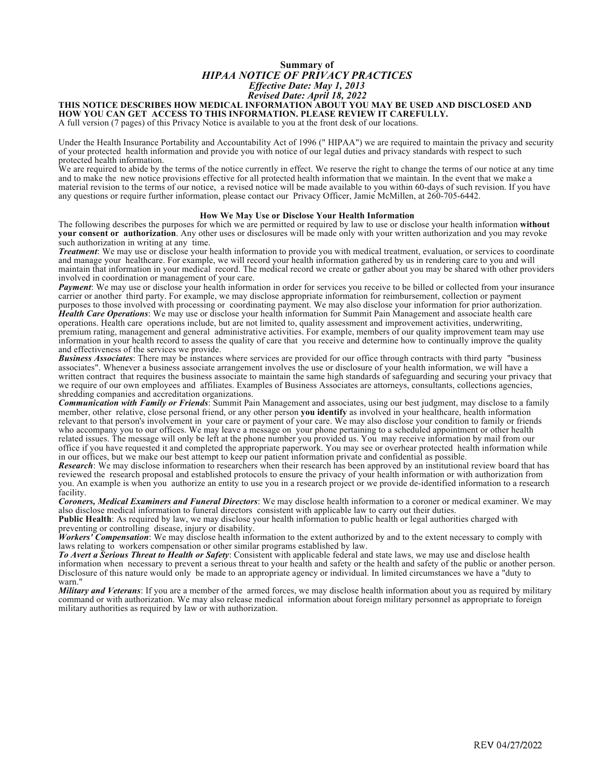## **Summary of**  *HIPAA NOTICE OF PRIVACY PRACTICES Effective Date: May 1, 2013 Revised Date: April 18, 2022*

## **THIS NOTICE DESCRIBES HOW MEDICAL INFORMATION ABOUT YOU MAY BE USED AND DISCLOSED AND HOW YOU CAN GET ACCESS TO THIS INFORMATION. PLEASE REVIEW IT CAREFULLY.**

A full version (7 pages) of this Privacy Notice is available to you at the front desk of our locations.

Under the Health Insurance Portability and Accountability Act of 1996 (" HIPAA") we are required to maintain the privacy and security of your protected health information and provide you with notice of our legal duties and privacy standards with respect to such protected health information.

We are required to abide by the terms of the notice currently in effect. We reserve the right to change the terms of our notice at any time and to make the new notice provisions effective for all protected health information that we maintain. In the event that we make a material revision to the terms of our notice, a revised notice will be made available to you within 60-days of such revision. If you have any questions or require further information, please contact our Privacy Officer, Jamie McMillen, at 260-705-6442.

#### **How We May Use or Disclose Your Health Information**

The following describes the purposes for which we are permitted or required by law to use or disclose your health information **without your consent or authorization**. Any other uses or disclosures will be made only with your written authorization and you may revoke such authorization in writing at any time.

*Treatment*: We may use or disclose your health information to provide you with medical treatment, evaluation, or services to coordinate and manage your healthcare. For example, we will record your health information gathered by us in rendering care to you and will maintain that information in your medical record. The medical record we create or gather about you may be shared with other providers involved in coordination or management of your care.

*Payment*: We may use or disclose your health information in order for services you receive to be billed or collected from your insurance carrier or another third party. For example, we may disclose appropriate information for reimbursement, collection or payment purposes to those involved with processing or coordinating payment. We may also disclose your information for prior authorization. *Health Care Operations*: We may use or disclose your health information for Summit Pain Management and associate health care operations. Health care operations include, but are not limited to, quality assessment and improvement activities, underwriting, premium rating, management and general administrative activities. For example, members of our quality improvement team may use information in your health record to assess the quality of care that you receive and determine how to continually improve the quality and effectiveness of the services we provide.

*Business Associates*: There may be instances where services are provided for our office through contracts with third party "business associates". Whenever a business associate arrangement involves the use or disclosure of your health information, we will have a written contract that requires the business associate to maintain the same high standards of safeguarding and securing your privacy that we require of our own employees and affiliates. Examples of Business Associates are attorneys, consultants, collections agencies, shredding companies and accreditation organizations.

*Communication with Family or Friends*: Summit Pain Management and associates, using our best judgment, may disclose to a family member, other relative, close personal friend, or any other person **you identify** as involved in your healthcare, health information relevant to that person's involvement in your care or payment of your care. We may also disclose your condition to family or friends who accompany you to our offices. We may leave a message on your phone pertaining to a scheduled appointment or other health related issues. The message will only be left at the phone number you provided us. You may receive information by mail from our office if you have requested it and completed the appropriate paperwork. You may see or overhear protected health information while in our offices, but we make our best attempt to keep our patient information private and confidential as possible.

*Research*: We may disclose information to researchers when their research has been approved by an institutional review board that has reviewed the research proposal and established protocols to ensure the privacy of your health information or with authorization from you. An example is when you authorize an entity to use you in a research project or we provide de-identified information to a research facility.

*Coroners, Medical Examiners and Funeral Directors*: We may disclose health information to a coroner or medical examiner. We may also disclose medical information to funeral directors consistent with applicable law to carry out their duties.

**Public Health**: As required by law, we may disclose your health information to public health or legal authorities charged with preventing or controlling disease, injury or disability.

*Workers' Compensation*: We may disclose health information to the extent authorized by and to the extent necessary to comply with laws relating to workers compensation or other similar programs established by law.

*To Avert a Serious Threat to Health or Safety*: Consistent with applicable federal and state laws, we may use and disclose health information when necessary to prevent a serious threat to your health and safety or the health and safety of the public or another person. Disclosure of this nature would only be made to an appropriate agency or individual. In limited circumstances we have a "duty to warn."

*Military and Veterans*: If you are a member of the armed forces, we may disclose health information about you as required by military command or with authorization. We may also release medical information about foreign military personnel as appropriate to foreign military authorities as required by law or with authorization.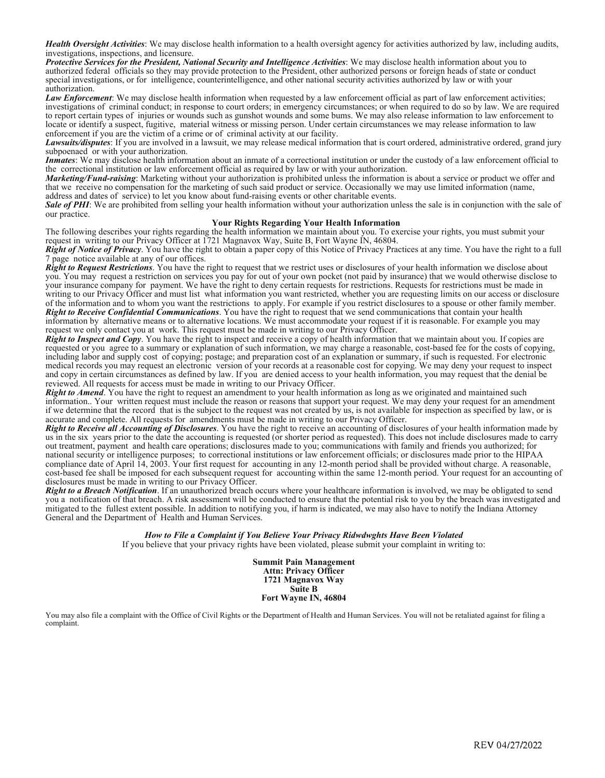*Health Oversight Activities*: We may disclose health information to a health oversight agency for activities authorized by law, including audits, investigations, inspections, and licensure.

*Protective Services for the President, National Security and Intelligence Activities*: We may disclose health information about you to authorized federal officials so they may provide protection to the President, other authorized persons or foreign heads of state or conduct special investigations, or for intelligence, counterintelligence, and other national security activities authorized by law or with your authorization.

*Law Enforcement*: We may disclose health information when requested by a law enforcement official as part of law enforcement activities; investigations of criminal conduct; in response to court orders; in emergency circumstances; or when required to do so by law. We are required to report certain types of injuries or wounds such as gunshot wounds and some bums. We may also release information to law enforcement to locate or identify a suspect, fugitive, material witness or missing person. Under certain circumstances we may release information to law enforcement if you are the victim of a crime or of criminal activity at our facility.

*Lawsuits/disputes*: If you are involved in a lawsuit, we may release medical information that is court ordered, administrative ordered, grand jury subpoenaed or with your authorization.

*Inmates*: We may disclose health information about an inmate of a correctional institution or under the custody of a law enforcement official to the correctional institution or law enforcement official as required by law or with your authorization.

*Marketing/Fund-raising*: Marketing without your authorization is prohibited unless the information is about a service or product we offer and that we receive no compensation for the marketing of such said product or service. Occasionally we may use limited information (name, address and dates of service) to let you know about fund-raising events or other charitable events.

*Sale of PHI*: We are prohibited from selling your health information without your authorization unless the sale is in conjunction with the sale of our practice.

#### **Your Rights Regarding Your Health Information**

The following describes your rights regarding the health information we maintain about you. To exercise your rights, you must submit your request in writing to our Privacy Officer at 1721 Magnavox Way, Suite B, Fort Wayne IN, 46804.

*Right of Notice of Privacy*. You have the right to obtain a paper copy of this Notice of Privacy Practices at any time. You have the right to a full 7 page notice available at any of our offices.

*Right to Request Restrictions*. You have the right to request that we restrict uses or disclosures of your health information we disclose about you. You may request a restriction on services you pay for out of your own pocket (not paid by insurance) that we would otherwise disclose to your insurance company for payment. We have the right to deny certain requests for restrictions. Requests for restrictions must be made in writing to our Privacy Officer and must list what information you want restricted, whether you are requesting limits on our access or disclosure of the information and to whom you want the restrictions to apply. For example if you restrict disclosures to a spouse or other family member. *Right to Receive Confidential Communications*. You have the right to request that we send communications that contain your health information by alternative means or to alternative locations. We must accommodate your request if it is reasonable. For example you may request we only contact you at work. This request must be made in writing to our Privacy Officer.

*Right to Inspect and Copy*. You have the right to inspect and receive a copy of health information that we maintain about you. If copies are requested or you agree to a summary or explanation of such information, we may charge a reasonable, cost-based fee for the costs of copying, including labor and supply cost of copying; postage; and preparation cost of an explanation or summary, if such is requested. For electronic medical records you may request an electronic version of your records at a reasonable cost for copying. We may deny your request to inspect and copy in certain circumstances as defined by law. If you are denied access to your health information, you may request that the denial be reviewed. All requests for access must be made in writing to our Privacy Officer.

*Right to Amend*. You have the right to request an amendment to your health information as long as we originated and maintained such information.. Your written request must include the reason or reasons that support your request. We may deny your request for an amendment if we determine that the record that is the subject to the request was not created by us, is not available for inspection as specified by law, or is accurate and complete. All requests for amendments must be made in writing to our Privacy Officer.

*Right to Receive all Accounting of Disclosures*. You have the right to receive an accounting of disclosures of your health information made by us in the six years prior to the date the accounting is requested (or shorter period as requested). This does not include disclosures made to carry out treatment, payment and health care operations; disclosures made to you; communications with family and friends you authorized; for national security or intelligence purposes; to correctional institutions or law enforcement officials; or disclosures made prior to the HIPAA compliance date of April 14, 2003. Your first request for accounting in any 12-month period shall be provided without charge. A reasonable, cost-based fee shall be imposed for each subsequent request for accounting within the same 12-month period. Your request for an accounting of disclosures must be made in writing to our Privacy Officer.

*Right to a Breach Notification*. If an unauthorized breach occurs where your healthcare information is involved, we may be obligated to send you a notification of that breach. A risk assessment will be conducted to ensure that the potential risk to you by the breach was investigated and mitigated to the fullest extent possible. In addition to notifying you, if harm is indicated, we may also have to notify the Indiana Attorney General and the Department of Health and Human Services.

## *How to File a Complaint if You Believe Your Privacy Ridwdwghts Have Been Violated*

If you believe that your privacy rights have been violated, please submit your complaint in writing to:

**Summit Pain Management Attn: Privacy Officer 1721 Magnavox Way Suite B Fort Wayne IN, 46804** 

You may also file a complaint with the Office of Civil Rights or the Department of Health and Human Services. You will not be retaliated against for filing a complaint.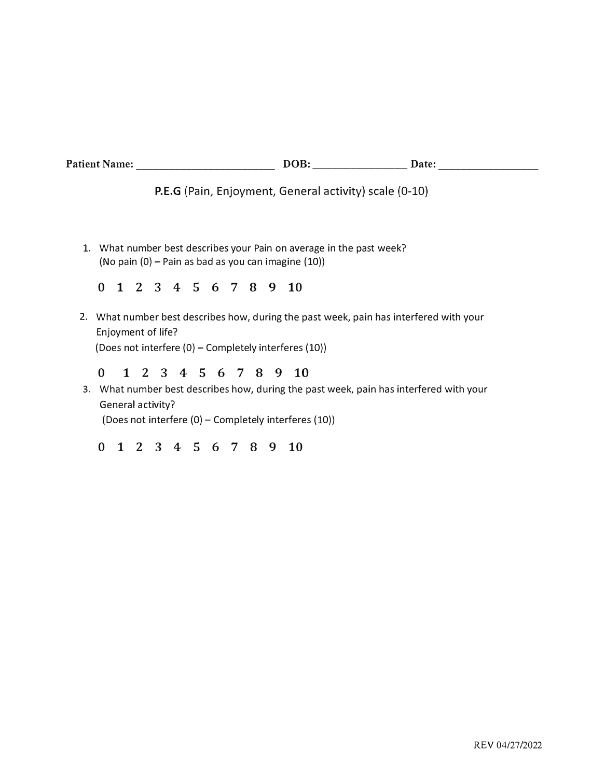| Patient Name: Name:                                                                                                                                                                                                            |          |  |  |  |                 |  |  |  |  |                                                          | $DOB:$ DOB: Date:                                                 |  |  |  |
|--------------------------------------------------------------------------------------------------------------------------------------------------------------------------------------------------------------------------------|----------|--|--|--|-----------------|--|--|--|--|----------------------------------------------------------|-------------------------------------------------------------------|--|--|--|
| <b>P.E.G</b> (Pain, Enjoyment, General activity) scale (0-10)                                                                                                                                                                  |          |  |  |  |                 |  |  |  |  |                                                          |                                                                   |  |  |  |
| 1.                                                                                                                                                                                                                             |          |  |  |  |                 |  |  |  |  | (No pain $(0)$ – Pain as bad as you can imagine $(10)$ ) | What number best describes your Pain on average in the past week? |  |  |  |
|                                                                                                                                                                                                                                | 0        |  |  |  |                 |  |  |  |  | 2 3 4 5 6 7 8 9 10                                       |                                                                   |  |  |  |
| 2. What number best describes how, during the past week, pain has interfered with your<br>Enjoyment of life?<br>(Does not interfere (0) - Completely interferes (10))                                                          |          |  |  |  |                 |  |  |  |  |                                                          |                                                                   |  |  |  |
| 2 3 4 5 6 7 8<br>$\bf{0}$<br>9<br>10<br>$\mathbf 1$<br>What number best describes how, during the past week, pain has interfered with your<br>3.<br>General activity?<br>(Does not interfere (0) – Completely interferes (10)) |          |  |  |  |                 |  |  |  |  |                                                          |                                                                   |  |  |  |
|                                                                                                                                                                                                                                | $\bf{0}$ |  |  |  | 2 3 4 5 6 7 8 9 |  |  |  |  | $-10$                                                    |                                                                   |  |  |  |
|                                                                                                                                                                                                                                |          |  |  |  |                 |  |  |  |  |                                                          |                                                                   |  |  |  |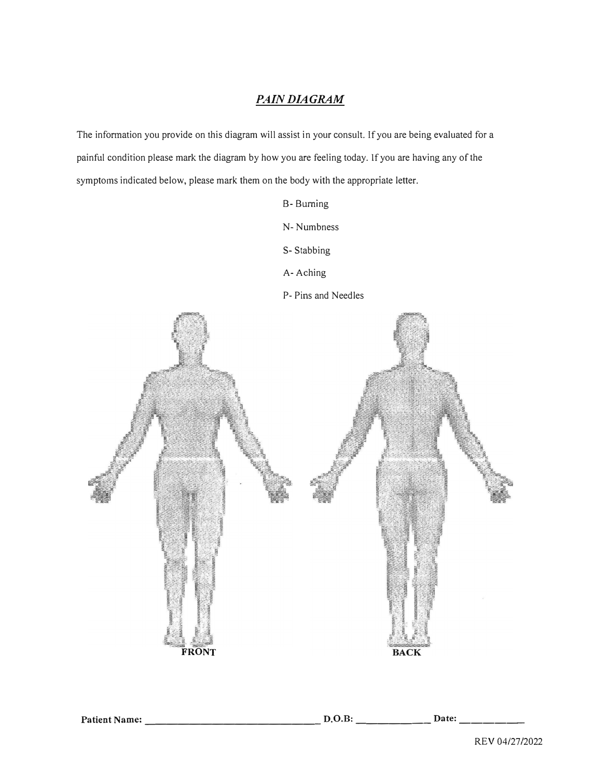## *PAIN DIAGRAM*

The information you provide on this diagram will assist in your consult. If you are being evaluated for a painful condition please mark the diagram by how you are feeling today. If you are having any of the symptoms indicated below, please mark them on the body with the appropriate letter.

B- Burning

N- Numbness

S- Stabbing

A-Aching



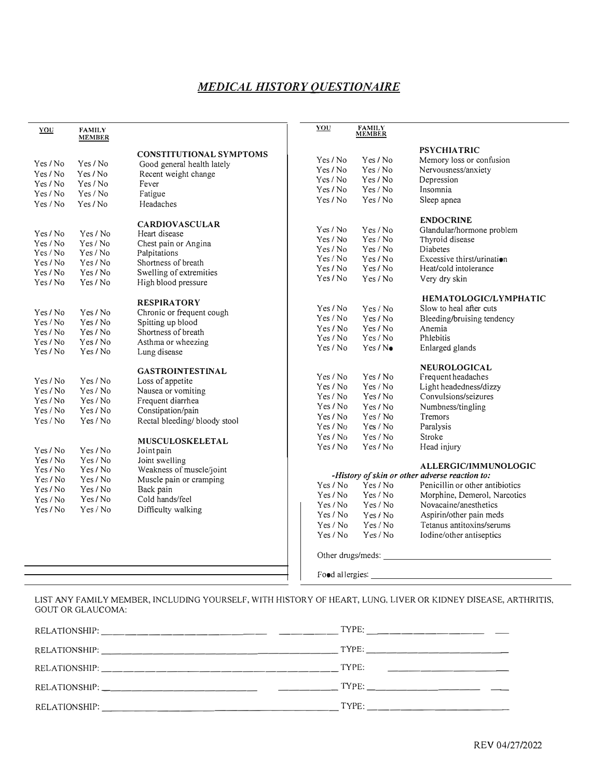# *MEDICAL HISTORY OUESTIONAIRE*

| YOU      | <b>FAMILY</b><br><b>MEMBER</b> |                                | YOU      | <b>FAMILY</b><br>MEMBER |                                                                                                                                                                                                                                |
|----------|--------------------------------|--------------------------------|----------|-------------------------|--------------------------------------------------------------------------------------------------------------------------------------------------------------------------------------------------------------------------------|
|          |                                | <b>CONSTITUTIONAL SYMPTOMS</b> |          |                         | <b>PSYCHIATRIC</b>                                                                                                                                                                                                             |
| Yes / No | Yes / No                       | Good general health lately     | Yes / No | Yes / No                | Memory loss or confusion                                                                                                                                                                                                       |
| Yes / No | Yes / No                       | Recent weight change           | Yes/No   | Yes / No                | Nervousness/anxiety                                                                                                                                                                                                            |
| Yes / No | Yes / No                       | Fever                          | Yes / No | Yes / No                | Depression                                                                                                                                                                                                                     |
| Yes / No | Yes / No                       | Fatigue                        | Yes / No | Yes / No                | Insomnia                                                                                                                                                                                                                       |
| Yes / No | Yes/No                         | Headaches                      | Yes / No | Yes / No                | Sleep apnea                                                                                                                                                                                                                    |
|          |                                | <b>CARDIOVASCULAR</b>          |          |                         | <b>ENDOCRINE</b>                                                                                                                                                                                                               |
| Yes / No | Yes / No                       | Heart disease                  | Yes / No | Yes/No                  | Glandular/hormone problem                                                                                                                                                                                                      |
| Yes / No | Yes / No                       | Chest pain or Angina           | Yes / No | Yes / No                | Thyroid disease                                                                                                                                                                                                                |
| Yes/No   | Yes / No                       | Palpitations                   | Yes / No | Yes / No                | Diabetes                                                                                                                                                                                                                       |
| Yes / No | Yes/No                         | Shortness of breath            | Yes / No | Yes / No                | Excessive thirst/urination                                                                                                                                                                                                     |
| Yes / No | Yes / No                       | Swelling of extremities        | Yes / No | Yes / No                | Heat/cold intolerance                                                                                                                                                                                                          |
| Yes / No | Yes / No                       | High blood pressure            | Yes / No | Yes / No                | Very dry skin                                                                                                                                                                                                                  |
|          |                                | <b>RESPIRATORY</b>             |          |                         | <b>HEMATOLOGIC/LYMPHATIC</b>                                                                                                                                                                                                   |
| Yes / No | Yes / No                       | Chronic or frequent cough      | Yes / No | Yes / No                | Slow to heal after cuts                                                                                                                                                                                                        |
| Yes / No | Yes / No                       | Spitting up blood              | Yes / No | Yes / No                | Bleeding/bruising tendency                                                                                                                                                                                                     |
| Yes / No | Yes / No                       | Shortness of breath            | Yes / No | Yes / No                | Anemia                                                                                                                                                                                                                         |
| Yes/No   | Yes / No                       | Asthma or wheezing             | Yes / No | Yes / No                | Phlebitis                                                                                                                                                                                                                      |
| Yes / No | Yes / No                       | Lung disease                   | Yes / No | Yes/N                   | Enlarged glands                                                                                                                                                                                                                |
|          |                                | <b>GASTROINTESTINAL</b>        |          |                         | <b>NEUROLOGICAL</b>                                                                                                                                                                                                            |
| Yes / No | Yes / No                       | Loss of appetite               | Yes / No | Yes / No                | Frequent headaches                                                                                                                                                                                                             |
| Yes / No | Yes / No                       | Nausea or vomiting             | Yes / No | Yes / No                | Light headedness/dizzy                                                                                                                                                                                                         |
| Yes/No   | Yes / No                       | Frequent diarrhea              | Yes / No | Yes / No                | Convulsions/seizures                                                                                                                                                                                                           |
| Yes / No | Yes / No                       | Constipation/pain              | Yes / No | Yes / No                | Numbness/tingling                                                                                                                                                                                                              |
| Yes / No | Yes/No                         | Rectal bleeding/bloody stool   | Yes / No | Yes / No                | <b>Tremors</b>                                                                                                                                                                                                                 |
|          |                                |                                | Yes / No | Yes / No                | Paralysis                                                                                                                                                                                                                      |
|          |                                | MUSCULOSKELETAL                | Yes / No | Yes/No                  | Stroke                                                                                                                                                                                                                         |
| Yes/No   | Yes / No                       | Joint pain                     | Yes / No | Yes / No                | Head injury                                                                                                                                                                                                                    |
| Yes / No | Yes / No                       | Joint swelling                 |          |                         | ALLERGIC/IMMUNOLOGIC                                                                                                                                                                                                           |
| Yes / No | Yes / No                       | Weakness of muscle/joint       |          |                         | -History of skin or other adverse reaction to:                                                                                                                                                                                 |
| Yes/No   | Yes / No                       | Muscle pain or cramping        | Yes / No | Yes / No                | Penicillin or other antibiotics                                                                                                                                                                                                |
| Yes/No   | Yes / No                       | Back pain                      | Yes / No | Yes / No                | Morphine, Demerol, Narcotics                                                                                                                                                                                                   |
| Yes/No   | Yes / No                       | Cold hands/feel                | Yes / No | Yes / No                | Novacaine/anesthetics                                                                                                                                                                                                          |
| Yes / No | Yes / No                       | Difficulty walking             | Yes / No | Yes / No                | Aspirin/other pain meds                                                                                                                                                                                                        |
|          |                                |                                | Yes / No | Yes / No                |                                                                                                                                                                                                                                |
|          |                                |                                |          |                         | Tetanus antitoxins/serums                                                                                                                                                                                                      |
|          |                                |                                | Yes / No | Yes / No                | Iodine/other antiseptics                                                                                                                                                                                                       |
|          |                                |                                |          |                         | Other drugs/meds: example and a series of the series of the series of the series of the series of the series of the series of the series of the series of the series of the series of the series of the series of the series o |
|          |                                |                                |          | Food allergies:         |                                                                                                                                                                                                                                |

LIST ANY FAMILY MEMBER, INCLUDING YOURSELF, WITH HISTORY OF HEART, LUNG, LIVER OR KIDNEY DISEASE, ARTHRITIS, GOUT OR GLAUCOMA:

|                                                                                                                                                                                                                               | TYPE: ________________                                                                                                         |
|-------------------------------------------------------------------------------------------------------------------------------------------------------------------------------------------------------------------------------|--------------------------------------------------------------------------------------------------------------------------------|
|                                                                                                                                                                                                                               |                                                                                                                                |
| RELATIONSHIP: The contract of the contract of the contract of the contract of the contract of the contract of the contract of the contract of the contract of the contract of the contract of the contract of the contract of | TYPE:<br><u> 1980 - Jan Alexandria, política establecidad en la provincia en la provincia en la provincia en la provincia </u> |
| RELATIONSHIP:                                                                                                                                                                                                                 | TYPE:                                                                                                                          |
| RELATIONSHIP: The contract of the contract of the contract of the contract of the contract of the contract of the contract of the contract of the contract of the contract of the contract of the contract of the contract of | $\text{Type:}$                                                                                                                 |